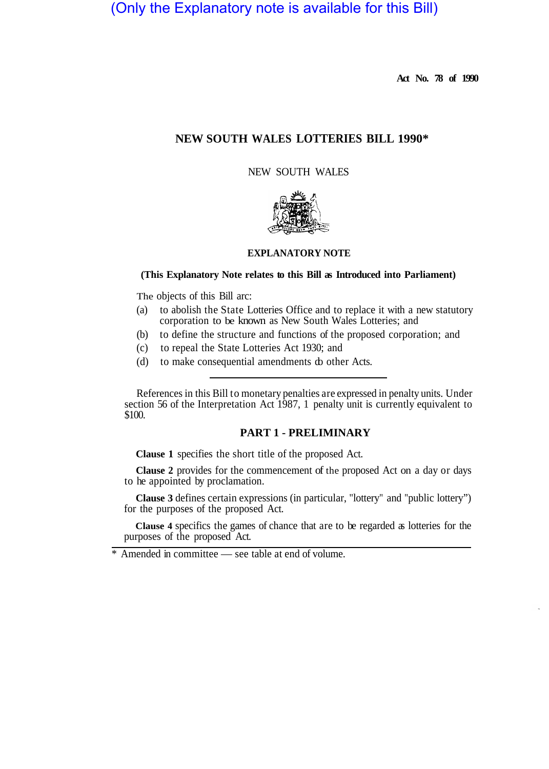# (Only the Explanatory note is available for this Bill)

**Act No. 78 of 1990** 

# **NEW SOUTH WALES LOTTERIES BILL 1990\***

NEW SOUTH WALES



# **EXPLANATORY NOTE**

# **(This Explanatory Note relates to this Bill as Introduced into Parliament)**

The objects of this Bill arc:

- (a) to abolish the State Lotteries Office and to replace it with a new statutory corporation to be known as New South Wales Lotteries; and
- (b) to define the structure and functions of the proposed corporation; and
- (c) to repeal the State Lotteries Act 1930; and
- (d) to make consequential amendments do other Acts.

References in this Bill to monetary penalties are expressed in penalty units. Under section 56 of the Interpretation Act 1987, 1 penalty unit is currently equivalent to \$100.

# **PART 1 - PRELIMINARY**

**Clause 1** specifies the short title of the proposed Act.

**Clause 2** provides for the commencement of the proposed Act on a day or days to he appointed by proclamation.

**Clause 3** defines certain expressions (in particular, "lottery" and "public lottery") for the purposes of the proposed Act.

**Clause 4** specifics the games of chance that are to be regarded as lotteries for the purposes of the proposed Act.

\* Amended in committee — see table at end of volume.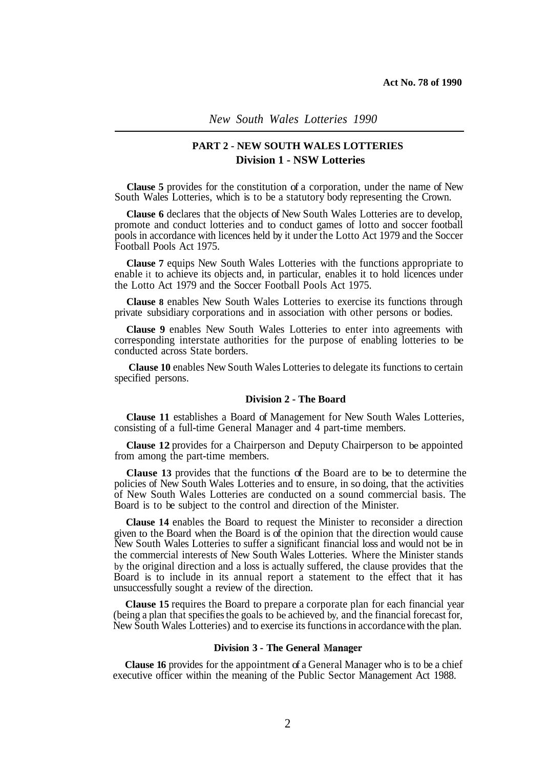*New South Wales Lotteries 1990* 

# **PART 2 - NEW SOUTH WALES LOTTERIES Division 1 - NSW Lotteries**

**Clause 5** provides for the constitution of a corporation, under the name of New South Wales Lotteries, which is to be a statutory body representing the Crown.

**Clause 6** declares that the objects of New South Wales Lotteries are to develop, promote and conduct lotteries and to conduct games of lotto and soccer football pools in accordance with licences held by it under the Lotto Act 1979 and the Soccer Football Pools Act 1975.

**Clause 7** equips New South Wales Lotteries with the functions appropriate to enable it to achieve its objects and, in particular, enables it to hold licences under the Lotto Act 1979 and the Soccer Football Pools Act 1975.

**Clause 8** enables New South Wales Lotteries to exercise its functions through private subsidiary corporations and in association with other persons or bodies.

**Clause 9** enables New South Wales Lotteries to enter into agreements with corresponding interstate authorities for the purpose of enabling lotteries to be conducted across State borders.

**Clause 10** enables New South Wales Lotteries to delegate its functions to certain specified persons.

# **Division 2 - The Board**

**Clause 11** establishes a Board of Management for New South Wales Lotteries, consisting of a full-time General Manager and 4 part-time members.

**Clause 12** provides for a Chairperson and Deputy Chairperson to be appointed from among the part-time members.

**Clause 13** provides that the functions of the Board are to be to determine the policies of New South Wales Lotteries and to ensure, in so doing, that the activities of New South Wales Lotteries are conducted on a sound commercial basis. The Board is to be subject to the control and direction of the Minister.

**Clause 14** enables the Board to request the Minister to reconsider a direction given to the Board when the Board is of the opinion that the direction would cause New South Wales Lotteries to suffer a significant financial loss and would not be in the commercial interests of New South Wales Lotteries. Where the Minister stands by the original direction and a loss is actually suffered, the clause provides that the Board is to include in its annual report a statement to the effect that it has unsuccessfully sought a review of the direction.

**Clause 15** requires the Board to prepare a corporate plan for each financial year (being a plan that specifies the goals to be achieved by, and the financial forecast for, New South Wales Lotteries) and to exercise its functions in accordance with the plan.

## **Division 3 - The General**

**Clause 16** provides for the appointment of a General Manager who is to be a chief executive officer within the meaning of the Public Sector Management Act 1988.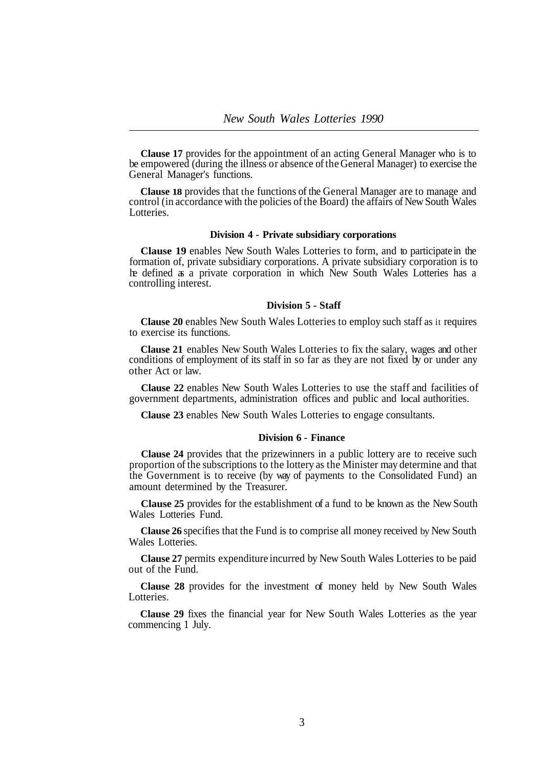**Clause 17** provides for the appointment of an acting General Manager who is to be empowered (during the illness or absence of the General Manager) to exercise the General Manager's functions.

**Clause 18** provides that the functions of the General Manager are to manage and control (in accordance with the policies of the Board) the affairs of New South Wales Lotteries.

# **Division 4 - Private subsidiary corporations**

**Clause 19** enables New South Wales Lotteries to form, and to participate in the formation of, private subsidiary corporations. A private subsidiary corporation is to he defined as a private corporation in which New South Wales Lotteries has a controlling interest.

#### **Division 5 - Staff**

**Clause 20** enables New South Wales Lotteries to employ such staff as it requires to exercise its functions.

**Clause 21** enables New South Wales Lotteries to fix the salary, wages and other conditions of employment of its staff in so far as they are not fixed by or under any other Act or law.

**Clause 22** enables New South Wales Lotteries to use the staff and facilities of government departments, administration offices and public and local authorities.

**Clause 23** enables New South Wales Lotteries to engage consultants.

# **Division 6 - Finance**

**Clause 24** provides that the prizewinners in a public lottery are to receive such proportion of the subscriptions to the lottery as the Minister may determine and that the Government is to receive (by way of payments to the Consolidated Fund) an amount determined by the Treasurer.

**Clause 25** provides for the establishment of a fund to be known as the New South Wales Lotteries Fund.

**Clause 26** specifies that the Fund is to comprise all money received by New South Wales Lotteries.

**Clause 27** permits expenditure incurred by New South Wales Lotteries to be paid out of the Fund.

**Clause 28** provides for the investment of money held by New South Wales Lotteries.

**Clause 29** fixes the financial year for New South Wales Lotteries as the year commencing 1 July.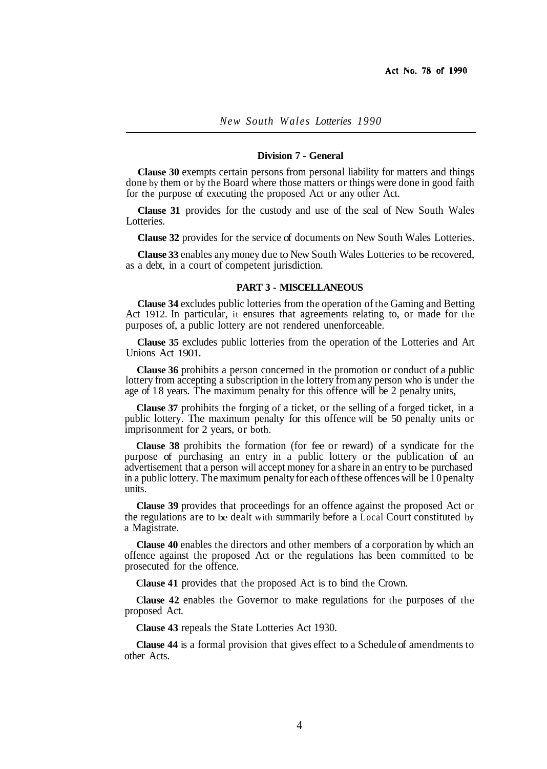## **Division 7 - General**

**Clause 30** exempts certain persons from personal liability for matters and things done by them or by the Board where those matters or things were done in good faith for the purpose of executing the proposed Act or any other Act.

**Clause 31** provides for the custody and use of the seal of New South Wales Lotteries.

**Clause 32** provides for the service of documents on New South Wales Lotteries.

**Clause 33** enables any money due to New South Wales Lotteries to be recovered, as a debt, in a court of competent jurisdiction.

#### **PART 3 - MISCELLANEOUS**

**Clause 34** excludes public lotteries from the operation of the Gaming and Betting Act 1912. In particular, it ensures that agreements relating to, or made for the purposes of, a public lottery are not rendered unenforceable.

**Clause 35** excludes public lotteries from the operation of the Lotteries and Art Unions Act 1901.

**Clause 36** prohibits a person concerned in the promotion or conduct of a public lottery from accepting a subscription in the lottery from any person who is under the age of 18 years. The maximum penalty for this offence will be 2 penalty units,

**Clause 37** prohibits the forging of a ticket, or the selling of a forged ticket, in a public lottery. The maximum penalty for this offence will be 50 penalty units or imprisonment for 2 years, or both.

**Clause 38** prohibits the formation (for fee or reward) of a syndicate for the purpose of purchasing an entry in a public lottery or the publication of an advertisement that a person will accept money for a share in an entry to be purchased in a public lottery. The maximum penalty for each of these offences will be 10 penalty units.

**Clause 39** provides that proceedings for an offence against the proposed Act or the regulations are to be dealt with summarily before a Local Court constituted by a Magistrate.

**Clause 40** enables the directors and other members of a corporation by which an offence against the proposed Act or the regulations has been committed to be prosecuted for the offence.

**Clause 41** provides that the proposed Act is to bind the Crown.

**Clause 42** enables the Governor to make regulations for the purposes of the proposed Act.

**Clause 43** repeals the State Lotteries Act 1930.

**Clause 44** is a formal provision that gives effect to a Schedule of amendments to other Acts.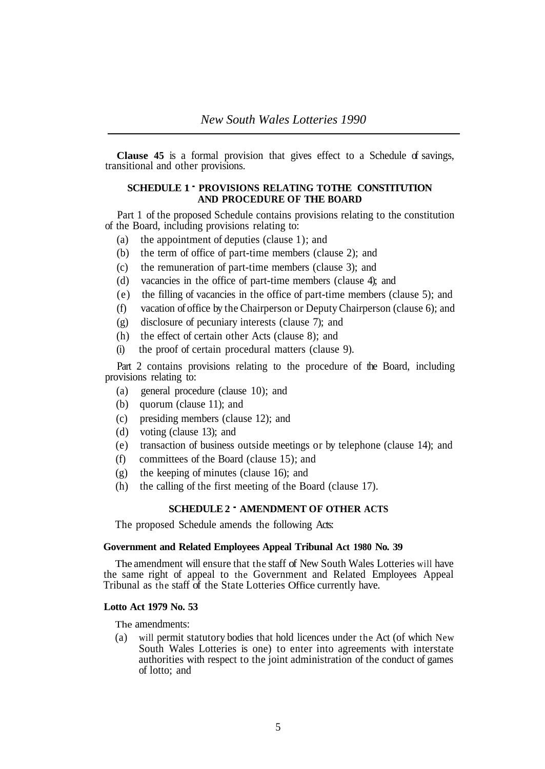**Clause 45** is a formal provision that gives effect to a Schedule of savings, transitional and other provisions.

# **SCHEDULE 1** - **PROVISIONS RELATING TO THE CONSTITUTION AND PROCEDURE OF THE BOARD**

Part 1 of the proposed Schedule contains provisions relating to the constitution of the Board, including provisions relating to:

- (a) the appointment of deputies (clause 1); and
- (b) the term of office of part-time members (clause 2); and
- (c) the remuneration of part-time members (clause 3); and
- (d) vacancies in the office of part-time members (clause 4); and
- (e) the filling of vacancies in the office of part-time members (clause 5); and
- (f) vacation of office by the Chairperson or Deputy Chairperson (clause 6); and
- (g) disclosure of pecuniary interests (clause 7); and
- (h) the effect of certain other Acts (clause 8); and
- (i) the proof of certain procedural matters (clause 9).

Part 2 contains provisions relating to the procedure of the Board, including provisions relating to:

- (a) general procedure (clause 10); and
- (b) quorum (clause 11); and
- (c) presiding members (clause 12); and
- (d) voting (clause 13); and
- (e) transaction of business outside meetings or by telephone (clause 14); and
- (f) committees of the Board (clause 15); and
- (g) the keeping of minutes (clause 16); and
- (h) the calling of the first meeting of the Board (clause 17).

# **SCHEDULE 2** - **AMENDMENT OF OTHER ACTS**

The proposed Schedule amends the following Acts:

# **Government and Related Employees Appeal Tribunal Act 1980 No. 39**

The amendment will ensure that the staff of New South Wales Lotteries will have the same right of appeal to the Government and Related Employees Appeal Tribunal as the staff of the State Lotteries Office currently have.

### **Lotto Act 1979 No. 53**

The amendments:

(a) will permit statutory bodies that hold licences under the Act (of which New South Wales Lotteries is one) to enter into agreements with interstate authorities with respect to the joint administration of the conduct of games of lotto; and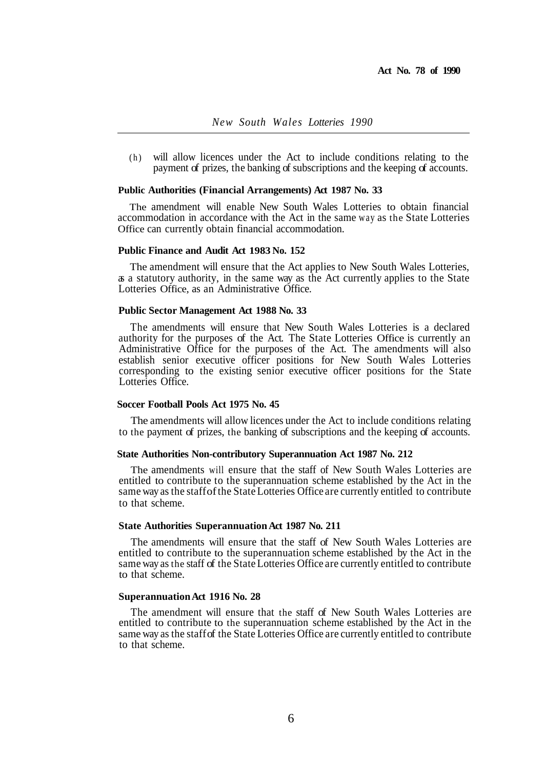(h) will allow licences under the Act to include conditions relating to the payment of prizes, the banking of subscriptions and the keeping of accounts.

# **Public Authorities (Financial Arrangements) Act 1987 No. 33**

The amendment will enable New South Wales Lotteries to obtain financial accommodation in accordance with the Act in the same way as the State Lotteries Office can currently obtain financial accommodation.

# **Public Finance and Audit Act 1983 No. 152**

The amendment will ensure that the Act applies to New South Wales Lotteries, as a statutory authority, in the same way as the Act currently applies to the State Lotteries Office, as an Administrative Office.

# **Public Sector Management Act 1988 No. 33**

The amendments will ensure that New South Wales Lotteries is a declared authority for the purposes of the Act. The State Lotteries Office is currently an Administrative Office for the purposes of the Act. The amendments will also establish senior executive officer positions for New South Wales Lotteries corresponding to the existing senior executive officer positions for the State Lotteries Office.

#### **Soccer Football Pools Act 1975 No. 45**

The amendments will allow licences under the Act to include conditions relating to the payment of prizes, the banking of subscriptions and the keeping of accounts.

# **State Authorities Non-contributory Superannuation Act 1987 No. 212**

The amendments will ensure that the staff of New South Wales Lotteries are entitled to contribute to the superannuation scheme established by the Act in the same way as the staff of the State Lotteries Office are currently entitled to contribute to that scheme.

# **State Authorities Superannuation Act 1987 No. 211**

The amendments will ensure that the staff of New South Wales Lotteries are entitled to contribute to the superannuation scheme established by the Act in the same way as the staff of the State Lotteries Office are currently entitled to contribute to that scheme.

#### **Superannuation Act 1916 No. 28**

The amendment will ensure that the staff of New South Wales Lotteries are entitled to contribute to the superannuation scheme established by the Act in the same way as the staff of the State Lotteries Office are currently entitled to contribute to that scheme.